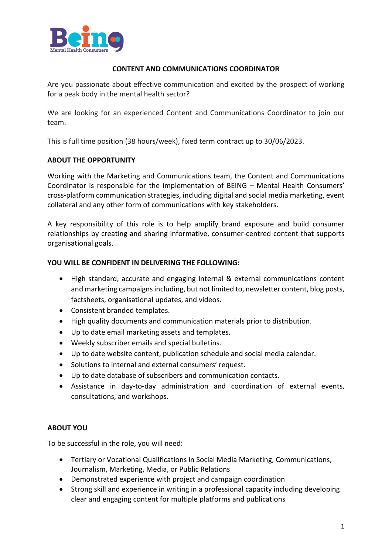

#### **CONTENT AND COMMUNICATIONS COORDINATOR**

Are you passionate about effective communication and excited by the prospect of working for a peak body in the mental health sector?

We are looking for an experienced Content and Communications Coordinator to join our team.

This is full time position (38 hours/week), fixed term contract up to 30/06/2023.

### **ABOUT THE OPPORTUNITY**

Working with the Marketing and Communications team, the Content and Communications Coordinator is responsible for the implementation of BEING – Mental Health Consumers' cross-platform communication strategies, including digital and social media marketing, event collateral and any other form of communications with key stakeholders.

A key responsibility of this role is to help amplify brand exposure and build consumer relationships by creating and sharing informative, consumer-centred content that supports organisational goals.

#### **YOU WILL BE CONFIDENT IN DELIVERING THE FOLLOWING:**

- High standard, accurate and engaging internal & external communications content and marketing campaigns including, but not limited to, newsletter content, blog posts, factsheets, organisational updates, and videos.
- Consistent branded templates.
- High quality documents and communication materials prior to distribution.
- Up to date email marketing assets and templates.
- Weekly subscriber emails and special bulletins.
- Up to date website content, publication schedule and social media calendar.
- Solutions to internal and external consumers' request.
- Up to date database of subscribers and communication contacts.
- Assistance in day-to-day administration and coordination of external events, consultations, and workshops.

# **ABOUT YOU**

To be successful in the role, you will need:

- Tertiary or Vocational Qualifications in Social Media Marketing, Communications, Journalism, Marketing, Media, or Public Relations
- Demonstrated experience with project and campaign coordination
- Strong skill and experience in writing in a professional capacity including developing clear and engaging content for multiple platforms and publications